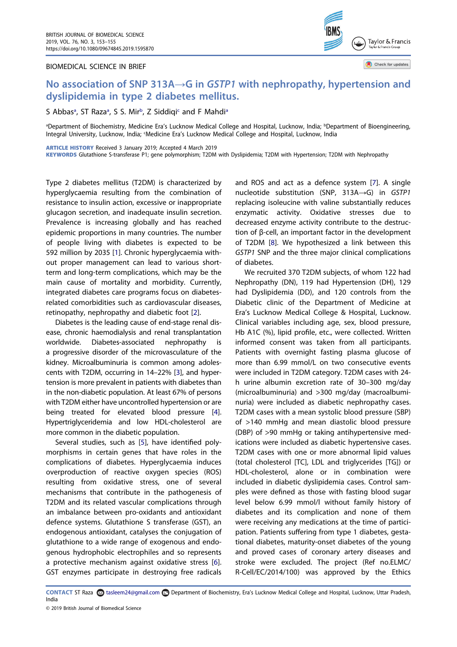#### BIOMEDICAL SCIENCE IN BRIEF



Check for updates

# No association of SNP 313A→G in GSTP1 with nephropathy, hypertension and dyslipidemia in type 2 diabetes mellitus.

S A[b](#page-0-0)bas<sup>a</sup>, ST Raza<sup>a</sup>, S S. Mir<sup>b</sup>, Z Siddiqi<sup>c</sup> and F Mahdi<sup>a</sup>

<span id="page-0-1"></span><span id="page-0-0"></span><sup>a</sup>Department of Biochemistry, Medicine Era's Lucknow Medical College and Hospital, Lucknow, India; <sup>b</sup>Department of Bioengineering, Integral University, Lucknow, India; 'Medicine Era's Lucknow Medical College and Hospital, Lucknow, India

ARTICLE HISTORY Received 3 January 2019; Accepted 4 March 2019

KEYWORDS Glutathione S-transferase P1; gene polymorphism; T2DM with Dyslipidemia; T2DM with Hypertension; T2DM with Nephropathy

<span id="page-0-2"></span>Type 2 diabetes mellitus (T2DM) is characterized by hyperglycaemia resulting from the combination of resistance to insulin action, excessive or inappropriate glucagon secretion, and inadequate insulin secretion. Prevalence is increasing globally and has reached epidemic proportions in many countries. The number of people living with diabetes is expected to be 592 million by 2035 [\[1](#page-2-0)]. Chronic hyperglycaemia without proper management can lead to various shortterm and long-term complications, which may be the main cause of mortality and morbidity. Currently, integrated diabetes care programs focus on diabetesrelated comorbidities such as cardiovascular diseases, retinopathy, nephropathy and diabetic foot [[2](#page-2-1)].

<span id="page-0-4"></span><span id="page-0-3"></span>Diabetes is the leading cause of end-stage renal disease, chronic haemodialysis and renal transplantation worldwide. Diabetes-associated nephropathy is a progressive disorder of the microvasculature of the kidney. Microalbuminuria is common among adolescents with T2DM, occurring in 14–22% [\[3](#page-2-2)], and hypertension is more prevalent in patients with diabetes than in the non-diabetic population. At least 67% of persons with T2DM either have uncontrolled hypertension or are being treated for elevated blood pressure [[4\]](#page-2-3). Hypertriglyceridemia and low HDL-cholesterol are more common in the diabetic population.

<span id="page-0-6"></span><span id="page-0-5"></span>Several studies, such as [\[5\]](#page-2-4), have identified polymorphisms in certain genes that have roles in the complications of diabetes. Hyperglycaemia induces overproduction of reactive oxygen species (ROS) resulting from oxidative stress, one of several mechanisms that contribute in the pathogenesis of T2DM and its related vascular complications through an imbalance between pro-oxidants and antioxidant defence systems. Glutathione S transferase (GST), an endogenous antioxidant, catalyses the conjugation of glutathione to a wide range of exogenous and endogenous hydrophobic electrophiles and so represents a protective mechanism against oxidative stress [[6\]](#page-2-5). GST enzymes participate in destroying free radicals

<span id="page-0-8"></span>and ROS and act as a defence system [\[7](#page-2-6)]. A single nucleotide substitution (SNP, 313A→G) in GSTP1 replacing isoleucine with valine substantially reduces enzymatic activity. Oxidative stresses due to decreased enzyme activity contribute to the destruction of β-cell, an important factor in the development of T2DM [[8](#page-2-7)]. We hypothesized a link between this GSTP1 SNP and the three major clinical complications of diabetes.

<span id="page-0-9"></span>We recruited 370 T2DM subjects, of whom 122 had Nephropathy (DN), 119 had Hypertension (DH), 129 had Dyslipidemia (DD), and 120 controls from the Diabetic clinic of the Department of Medicine at Era's Lucknow Medical College & Hospital, Lucknow. Clinical variables including age, sex, blood pressure, Hb A1C (%), lipid profile, etc., were collected. Written informed consent was taken from all participants. Patients with overnight fasting plasma glucose of more than 6.99 mmol/L on two consecutive events were included in T2DM category. T2DM cases with 24 h urine albumin excretion rate of 30–300 mg/day (microalbuminuria) and >300 mg/day (macroalbuminuria) were included as diabetic nephropathy cases. T2DM cases with a mean systolic blood pressure (SBP) of >140 mmHg and mean diastolic blood pressure (DBP) of >90 mmHg or taking antihypertensive medications were included as diabetic hypertensive cases. T2DM cases with one or more abnormal lipid values (total cholesterol [TC], LDL and triglycerides [TG]) or HDL-cholesterol, alone or in combination were included in diabetic dyslipidemia cases. Control samples were defined as those with fasting blood sugar level below 6.99 mmol/l without family history of diabetes and its complication and none of them were receiving any medications at the time of participation. Patients suffering from type 1 diabetes, gestational diabetes, maturity-onset diabetes of the young and proved cases of coronary artery diseases and stroke were excluded. The project (Ref no.ELMC/ R-Cell/EC/2014/100) was approved by the Ethics

<span id="page-0-7"></span>CONTACT ST Raza a rasleem24@gmail.com Department of Biochemistry, Era's Lucknow Medical College and Hospital, Lucknow, Uttar Pradesh, India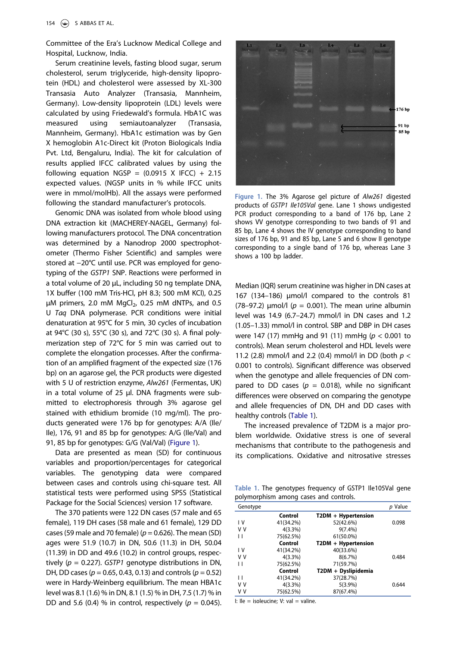Committee of the Era's Lucknow Medical College and Hospital, Lucknow, India.

Serum creatinine levels, fasting blood sugar, serum cholesterol, serum triglyceride, high-density lipoprotein (HDL) and cholesterol were assessed by XL-300 Transasia Auto Analyzer (Transasia, Mannheim, Germany). Low-density lipoprotein (LDL) levels were calculated by using Friedewald's formula. HbA1C was measured using semiautoanalyzer (Transasia, Mannheim, Germany). HbA1c estimation was by Gen X hemoglobin A1c-Direct kit (Proton Biologicals India Pvt. Ltd, Bengaluru, India). The kit for calculation of results applied IFCC calibrated values by using the following equation NGSP =  $(0.0915 \times IFCC) + 2.15$ expected values. (NGSP units in % while IFCC units were in mmol/molHb). All the assays were performed following the standard manufacturer's protocols.

Genomic DNA was isolated from whole blood using DNA extraction kit (MACHEREY-NAGEL, Germany) following manufacturers protocol. The DNA concentration was determined by a Nanodrop 2000 spectrophotometer (Thermo Fisher Scientific) and samples were stored at −20°C until use. PCR was employed for genotyping of the GSTP1 SNP. Reactions were performed in a total volume of 20 μL, including 50 ng template DNA, 1X buffer (100 mM Tris-HCl, pH 8.3; 500 mM KCl), 0.25 μM primers, 2.0 mM MgCl<sub>2</sub>, 0.25 mM dNTPs, and 0.5 U Taq DNA polymerase. PCR conditions were initial denaturation at 95°C for 5 min, 30 cycles of incubation at 94°C (30 s), 55°C (30 s), and 72°C (30 s). A final polymerization step of 72°C for 5 min was carried out to complete the elongation processes. After the confirmation of an amplified fragment of the expected size (176 bp) on an agarose gel, the PCR products were digested with 5 U of restriction enzyme, Alw261 (Fermentas, UK) in a total volume of 25 μl. DNA fragments were submitted to electrophoresis through 3% agarose gel stained with ethidium bromide (10 mg/ml). The products generated were 176 bp for genotypes: A/A (Ile/ Ile), 176, 91 and 85 bp for genotypes: A/G (Ile/Val) and 91, 85 bp for genotypes: G/G (Val/Val) [\(Figure 1](#page-1-0)).

Data are presented as mean (SD) for continuous variables and proportion/percentages for categorical variables. The genotyping data were compared between cases and controls using chi-square test. All statistical tests were performed using SPSS (Statistical Package for the Social Sciences) version 17 software.

The 370 patients were 122 DN cases (57 male and 65 female), 119 DH cases (58 male and 61 female), 129 DD cases (59 male and 70 female) ( $p = 0.626$ ). The mean (SD) ages were 51.9 (10.7) in DN, 50.6 (11.3) in DH, 50.04 (11.39) in DD and 49.6 (10.2) in control groups, respectively ( $p = 0.227$ ). GSTP1 genotype distributions in DN, DH, DD cases ( $p = 0.65$ , 0.43, 0.13) and controls ( $p = 0.52$ ) were in Hardy-Weinberg equilibrium. The mean HBA1c level was 8.1 (1.6) % in DN, 8.1 (1.5) % in DH, 7.5 (1.7) % in DD and 5.6 (0.4) % in control, respectively ( $p = 0.045$ ).

<span id="page-1-0"></span>

Figure 1. The 3% Agarose gel picture of Alw261 digested products of GSTP1 Ile105Val gene. Lane 1 shows undigested PCR product corresponding to a band of 176 bp, Lane 2 shows VV genotype corresponding to two bands of 91 and 85 bp, Lane 4 shows the IV genotype corresponding to band sizes of 176 bp, 91 and 85 bp, Lane 5 and 6 show II genotype corresponding to a single band of 176 bp, whereas Lane 3 shows a 100 bp ladder.

Median (IQR) serum creatinine was higher in DN cases at 167 (134–186) µmol/l compared to the controls 81 (78–97.2)  $\mu$ mol/l ( $p = 0.001$ ). The mean urine albumin level was 14.9 (6.7–24.7) mmol/l in DN cases and 1.2 (1.05–1.33) mmol/l in control. SBP and DBP in DH cases were 147 (17) mmHg and 91 (11) mmHg ( $p < 0.001$  to controls). Mean serum cholesterol and HDL levels were 11.2 (2.8) mmol/l and 2.2 (0.4) mmol/l in DD (both  $p <$ 0.001 to controls). Significant difference was observed when the genotype and allele frequencies of DN compared to DD cases ( $p = 0.018$ ), while no significant differences were observed on comparing the genotype and allele frequencies of DN, DH and DD cases with healthy controls [\(Table 1\)](#page-1-1).

The increased prevalence of T2DM is a major problem worldwide. Oxidative stress is one of several mechanisms that contribute to the pathogenesis and its complications. Oxidative and nitrosative stresses

<span id="page-1-1"></span>Table 1. The genotypes frequency of GSTP1 Ile105Val gene polymorphism among cases and controls.

| Genotype |            |                     | Value<br>n |
|----------|------------|---------------------|------------|
|          | Control    | T2DM + Hypertension |            |
| ١V       | 41(34.2%)  | 52(42.6%)           | 0.098      |
| v v      | $4(3.3\%)$ | $9(7.4\%)$          |            |
| Н        | 75(62.5%)  | 61(50.0%)           |            |
|          | Control    | T2DM + Hypertension |            |
| ١V       | 41(34.2%)  | 40(33.6%)           |            |
| v v      | $4(3.3\%)$ | 8(6.7%)             | 0.484      |
| Ħ        | 75(62.5%)  | 71(59.7%)           |            |
|          | Control    | T2DM + Dyslipidemia |            |
| П        | 41(34.2%)  | 37(28.7%)           |            |
| v v      | $4(3.3\%)$ | $5(3.9\%)$          | 0.644      |
| v v      | 75(62.5%)  | 87(67.4%)           |            |

I: Ile = isoleucine; V: val = valine.